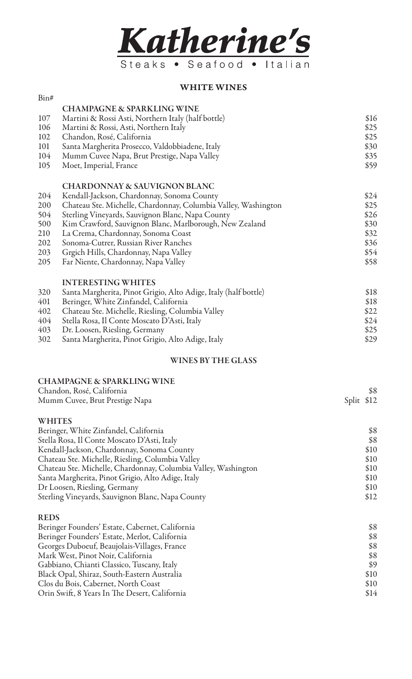

## WHITE WINES

| Bin# |                                                                |      |
|------|----------------------------------------------------------------|------|
|      | <b>CHAMPAGNE &amp; SPARKLING WINE</b>                          |      |
| 107  | Martini & Rossi Asti, Northern Italy (half bottle)             | \$16 |
| 106  | Martini & Rossi, Asti, Northern Italy                          | \$25 |
| 102  | Chandon, Rosé, California                                      | \$25 |
| 101  | Santa Margherita Prosecco, Valdobbiadene, Italy                | \$30 |
| 104  | Mumm Cuvee Napa, Brut Prestige, Napa Valley                    | \$35 |
| 105  | Moet, Imperial, France                                         | \$59 |
|      | <b>CHARDONNAY &amp; SAUVIGNON BLANC</b>                        |      |
| 204  | Kendall-Jackson, Chardonnay, Sonoma County                     | \$24 |
| 200  | Chateau Ste. Michelle, Chardonnay, Columbia Valley, Washington | \$25 |
| 504  | Sterling Vineyards, Sauvignon Blanc, Napa County               | \$26 |
| 500  | Kim Crawford, Sauvignon Blanc, Marlborough, New Zealand        | \$30 |
| 210  | La Crema, Chardonnay, Sonoma Coast                             | \$32 |
| 202  | Sonoma-Cutrer, Russian River Ranches                           | \$36 |
| 203  | Grgich Hills, Chardonnay, Napa Valley                          | \$54 |
| 205  | Far Niente, Chardonnay, Napa Valley                            | \$58 |
|      | <b>INTERESTING WHITES</b>                                      |      |

| 320 | Santa Margherita, Pinot Grigio, Alto Adige, Italy (half bottle) | \$18 |
|-----|-----------------------------------------------------------------|------|
| 401 | Beringer, White Zinfandel, California                           | \$18 |
|     | 402 Chateau Ste. Michelle, Riesling, Columbia Valley            | \$22 |
|     | 404 Stella Rosa, Il Conte Moscato D'Asti, Italy                 | \$24 |
| 403 | Dr. Loosen, Riesling, Germany                                   | \$25 |
|     | 302 Santa Margherita, Pinot Grigio, Alto Adige, Italy           | \$29 |

## WINES BY THE GLASS

| <b>CHAMPAGNE &amp; SPARKLING WINE</b>                          |               |
|----------------------------------------------------------------|---------------|
| Chandon, Rosé, California                                      | \$8           |
| Mumm Cuvee, Brut Prestige Napa                                 | \$12<br>Split |
| <b>WHITES</b>                                                  |               |
| Beringer, White Zinfandel, California                          | \$8           |
| Stella Rosa, Il Conte Moscato D'Asti, Italy                    | \$8           |
| Kendall-Jackson, Chardonnay, Sonoma County                     | \$10          |
| Chateau Ste. Michelle, Riesling, Columbia Valley               | \$10          |
| Chateau Ste. Michelle, Chardonnay, Columbia Valley, Washington | \$10          |
| Santa Margherita, Pinot Grigio, Alto Adige, Italy              | \$10          |
| Dr Loosen, Riesling, Germany                                   | \$10          |
| Sterling Vineyards, Sauvignon Blanc, Napa County               | \$12          |
| <b>REDS</b>                                                    |               |
| Beringer Founders' Estate, Cabernet, California                | \$8           |
| Beringer Founders' Estate, Merlot, California                  | \$8           |
| Georges Duboeuf, Beaujolais-Villages, France                   | \$8           |
| Mark West, Pinot Noir, California                              | \$8           |
| Gabbiano, Chianti Classico, Tuscany, Italy                     | \$9           |
| Black Opal, Shiraz, South-Eastern Australia                    | \$10          |
| Clos du Bois, Cabernet, North Coast                            | \$10          |

Orin Swift, 8 Years In The Desert, California  $$14$